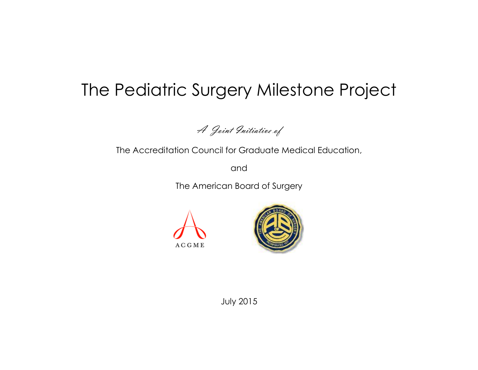# The Pediatric Surgery Milestone Project

A Joint Initiative of

The Accreditation Council for Graduate Medical Education,

and

The American Board of Surgery





July 2015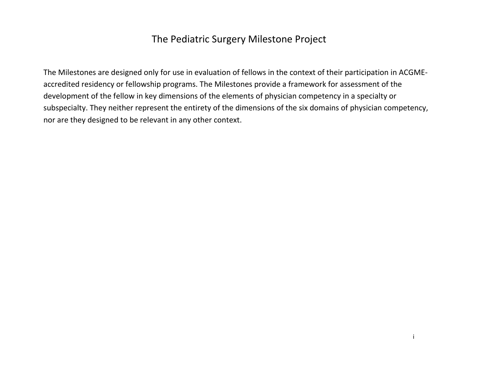## The Pediatric Surgery Milestone Project

The Milestones are designed only for use in evaluation of fellows in the context of their participation in ACGMEaccredited residency or fellowship programs. The Milestones provide a framework for assessment of the development of the fellow in key dimensions of the elements of physician competency in a specialty or subspecialty. They neither represent the entirety of the dimensions of the six domains of physician competency, nor are they designed to be relevant in any other context.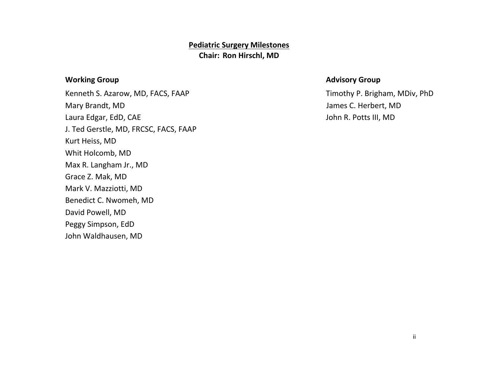## **Pediatric Surgery Milestones Chair: Ron Hirschl, MD**

### **Morking Group** *Advisory Group* **Advisory Group**

Kenneth S. Azarow, MD, FACS, FAAP The Connection of the Connection of Timothy P. Brigham, MDiv, PhD Mary Brandt, MD James C. Herbert, MD Laura Edgar, EdD, CAE John R. Potts III, MD J. Ted Gerstle, MD, FRCSC, FACS, FAAP Kurt Heiss, MD Whit Holcomb, MD Max R. Langham Jr., MD Grace Z. Mak, MD Mark V. Mazziotti, MD Benedict C. Nwomeh, MD David Powell, MD Peggy Simpson, EdD John Waldhausen, MD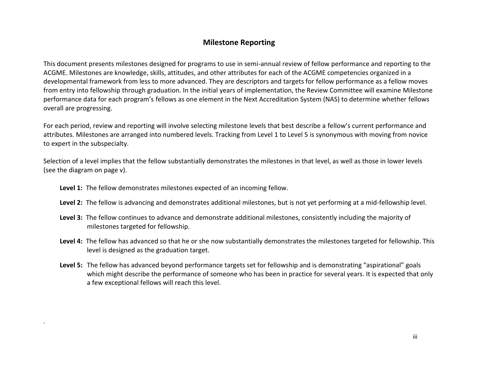### **Milestone Reporting**

This document presents milestones designed for programs to use in semi-annual review of fellow performance and reporting to the ACGME. Milestones are knowledge, skills, attitudes, and other attributes for each of the ACGME competencies organized in a developmental framework from less to more advanced. They are descriptors and targets for fellow performance as a fellow moves from entry into fellowship through graduation. In the initial years of implementation, the Review Committee will examine Milestone performance data for each program's fellows as one element in the Next Accreditation System (NAS) to determine whether fellows overall are progressing.

For each period, review and reporting will involve selecting milestone levels that best describe a fellow's current performance and attributes. Milestones are arranged into numbered levels. Tracking from Level 1 to Level 5 is synonymous with moving from novice to expert in the subspecialty.

Selection of a level implies that the fellow substantially demonstrates the milestones in that level, as well as those in lower levels (see the diagram on page v).

**Level 1:** The fellow demonstrates milestones expected of an incoming fellow.

.

- **Level 2:** The fellow is advancing and demonstrates additional milestones, but is not yet performing at a mid-fellowship level.
- **Level 3:** The fellow continues to advance and demonstrate additional milestones, consistently including the majority of milestones targeted for fellowship.
- **Level 4:** The fellow has advanced so that he or she now substantially demonstrates the milestones targeted for fellowship. This level is designed as the graduation target.
- **Level 5:** The fellow has advanced beyond performance targets set for fellowship and is demonstrating "aspirational" goals which might describe the performance of someone who has been in practice for several years. It is expected that only a few exceptional fellows will reach this level.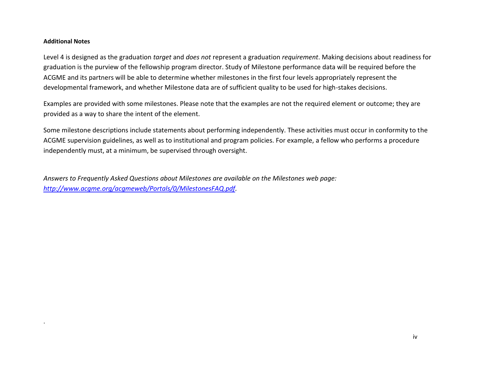#### **Additional Notes**

.

Level 4 is designed as the graduation *target* and *does not* represent a graduation *requirement*. Making decisions about readiness for graduation is the purview of the fellowship program director. Study of Milestone performance data will be required before the ACGME and its partners will be able to determine whether milestones in the first four levels appropriately represent the developmental framework, and whether Milestone data are of sufficient quality to be used for high-stakes decisions.

Examples are provided with some milestones. Please note that the examples are not the required element or outcome; they are provided as a way to share the intent of the element.

Some milestone descriptions include statements about performing independently. These activities must occur in conformity to the ACGME supervision guidelines, as well as to institutional and program policies. For example, a fellow who performs a procedure independently must, at a minimum, be supervised through oversight.

*Answers to Frequently Asked Questions about Milestones are available on the Milestones web page: [http://www.acgme.org/acgmeweb/Portals/0/MilestonesFAQ.pdf.](http://www.acgme.org/acgmeweb/Portals/0/MilestonesFAQ.pdf)*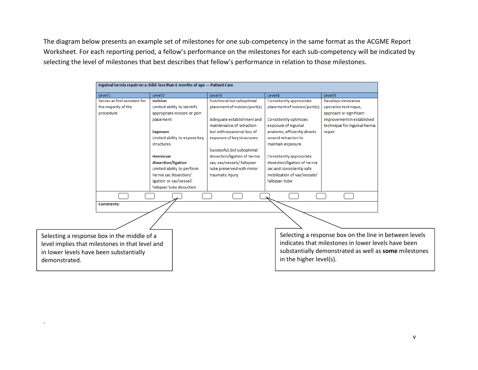The diagram below presents an example set of milestones for one sub-competency in the same format as the ACGME Report Worksheet. For each reporting period, a fellow's performance on the milestones for each sub-competency will be indicated by selecting the level of milestones that best describes that fellow's performance in relation to those milestones.

|                                                 | Inguinal hernia repair on a child less than 6 months of age - Patient Care |                                  |                               |                                                        |
|-------------------------------------------------|----------------------------------------------------------------------------|----------------------------------|-------------------------------|--------------------------------------------------------|
| Level1                                          | Level <sub>2</sub>                                                         | Level <sub>3</sub>               | Level4                        | Level <sub>5</sub>                                     |
| Serves as first assistant for                   | <b>Incision</b>                                                            | <b>Functional but suboptimal</b> | Consistently appropriate      | Develops innovative                                    |
| the majority of the                             | Limited ability to identify                                                | placement of incision/port(s)    | placement of incision/port(s) | operative technique,                                   |
| procedure                                       | appropriate incision or port                                               |                                  |                               | approach or significant                                |
|                                                 | placement                                                                  | Adequate establishment and       | Consistently optimizes        | improvement in established                             |
|                                                 |                                                                            | maintenance of retraction        | exposure of inguinal          | technique for inguinal hernia                          |
|                                                 | <b>Exposure</b>                                                            | but with occasional loss of      | anatomy, efficiently directs  | repair                                                 |
|                                                 | Limited ability to expose key                                              | exposure of key structures       | wound retraction to           |                                                        |
|                                                 | structures                                                                 |                                  | maintain exposure             |                                                        |
|                                                 |                                                                            | Successful, but suboptimal       |                               |                                                        |
|                                                 | <b>Herniasac</b>                                                           | dissection/ligation of hernia    | Consistently appropriate      |                                                        |
|                                                 | dissection/ligation                                                        | sac; vas/vessels/ fallopian      | dissection/ligation of hernia |                                                        |
|                                                 | Limited ability to perform                                                 | tube preserved with minor        | sac and consistently safe     |                                                        |
|                                                 | hernia sac dissection/                                                     | traumatic injury                 | mobilization of vas/vessels/  |                                                        |
|                                                 | ligation or vas/vessel/                                                    |                                  | fallopian tube                |                                                        |
|                                                 | fallopian tube dissection                                                  |                                  |                               |                                                        |
|                                                 |                                                                            |                                  |                               |                                                        |
| <b>Comments:</b>                                |                                                                            |                                  |                               |                                                        |
|                                                 |                                                                            |                                  |                               |                                                        |
|                                                 |                                                                            |                                  |                               |                                                        |
| Selecting a response box in the middle of a     |                                                                            |                                  |                               | Selecting a response box on the line in between levels |
| level implies that milestones in that level and |                                                                            |                                  |                               | indicates that milestones in lower levels have been    |
| in lower levels have been substantially         |                                                                            |                                  |                               | substantially demonstrated as well as some milestones  |
|                                                 |                                                                            |                                  | in the higher level(s).       |                                                        |
| demonstrated.                                   |                                                                            |                                  |                               |                                                        |
|                                                 |                                                                            |                                  |                               |                                                        |

.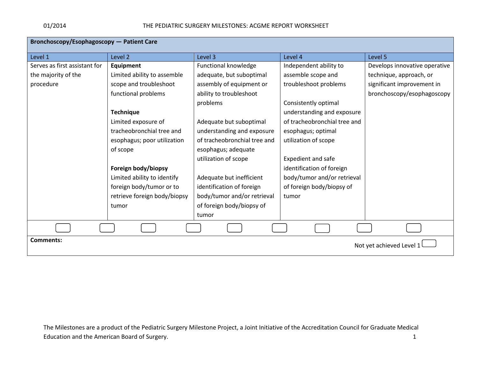| <b>Bronchoscopy/Esophagoscopy - Patient Care</b> |                              |                              |                              |                               |  |
|--------------------------------------------------|------------------------------|------------------------------|------------------------------|-------------------------------|--|
| Level 1                                          | Level 2                      | Level 3                      | Level 4                      | Level 5                       |  |
| Serves as first assistant for                    | <b>Equipment</b>             | Functional knowledge         | Independent ability to       | Develops innovative operative |  |
| the majority of the                              | Limited ability to assemble  | adequate, but suboptimal     | assemble scope and           | technique, approach, or       |  |
| procedure                                        | scope and troubleshoot       | assembly of equipment or     | troubleshoot problems        | significant improvement in    |  |
|                                                  | functional problems          | ability to troubleshoot      |                              | bronchoscopy/esophagoscopy    |  |
|                                                  |                              | problems                     | Consistently optimal         |                               |  |
|                                                  | <b>Technique</b>             |                              | understanding and exposure   |                               |  |
|                                                  | Limited exposure of          | Adequate but suboptimal      | of tracheobronchial tree and |                               |  |
|                                                  | tracheobronchial tree and    | understanding and exposure   | esophagus; optimal           |                               |  |
|                                                  | esophagus; poor utilization  | of tracheobronchial tree and | utilization of scope         |                               |  |
|                                                  | of scope                     | esophagus; adequate          |                              |                               |  |
|                                                  |                              | utilization of scope         | Expedient and safe           |                               |  |
|                                                  | Foreign body/biopsy          |                              | identification of foreign    |                               |  |
|                                                  | Limited ability to identify  | Adequate but inefficient     | body/tumor and/or retrieval  |                               |  |
|                                                  | foreign body/tumor or to     | identification of foreign    | of foreign body/biopsy of    |                               |  |
|                                                  | retrieve foreign body/biopsy | body/tumor and/or retrieval  | tumor                        |                               |  |
|                                                  | tumor                        | of foreign body/biopsy of    |                              |                               |  |
|                                                  |                              | tumor                        |                              |                               |  |
|                                                  |                              |                              |                              |                               |  |
| <b>Comments:</b>                                 | Not yet achieved Level 1     |                              |                              |                               |  |

The Milestones are a product of the Pediatric Surgery Milestone Project, a Joint Initiative of the Accreditation Council for Graduate Medical Education and the American Board of Surgery. The action of the state of the state of the state of the state of the state of the state of the state of the state of the state of the state of the state of the state of the sta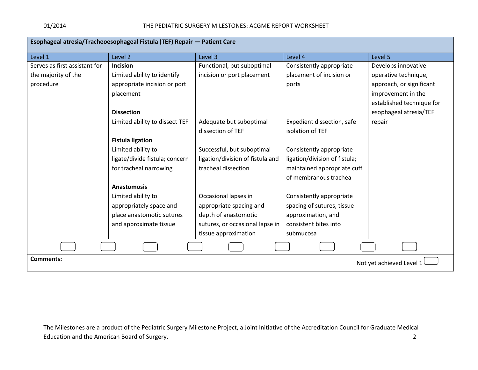| Esophageal atresia/Tracheoesophageal Fistula (TEF) Repair - Patient Care |                                |                                  |                               |                           |  |
|--------------------------------------------------------------------------|--------------------------------|----------------------------------|-------------------------------|---------------------------|--|
| Level 1                                                                  | Level 2                        | Level 3                          | Level 4                       | Level 5                   |  |
| Serves as first assistant for                                            | Incision                       | Functional, but suboptimal       | Consistently appropriate      | Develops innovative       |  |
| the majority of the                                                      | Limited ability to identify    | incision or port placement       | placement of incision or      | operative technique,      |  |
| procedure                                                                | appropriate incision or port   |                                  | ports                         | approach, or significant  |  |
|                                                                          | placement                      |                                  |                               | improvement in the        |  |
|                                                                          |                                |                                  |                               | established technique for |  |
|                                                                          | <b>Dissection</b>              |                                  |                               | esophageal atresia/TEF    |  |
|                                                                          | Limited ability to dissect TEF | Adequate but suboptimal          | Expedient dissection, safe    | repair                    |  |
|                                                                          |                                | dissection of TEF                | isolation of TEF              |                           |  |
|                                                                          | <b>Fistula ligation</b>        |                                  |                               |                           |  |
|                                                                          | Limited ability to             | Successful, but suboptimal       | Consistently appropriate      |                           |  |
|                                                                          | ligate/divide fistula; concern | ligation/division of fistula and | ligation/division of fistula; |                           |  |
|                                                                          | for tracheal narrowing         | tracheal dissection              | maintained appropriate cuff   |                           |  |
|                                                                          |                                |                                  | of membranous trachea         |                           |  |
|                                                                          | <b>Anastomosis</b>             |                                  |                               |                           |  |
|                                                                          | Limited ability to             | Occasional lapses in             | Consistently appropriate      |                           |  |
|                                                                          | appropriately space and        | appropriate spacing and          | spacing of sutures, tissue    |                           |  |
|                                                                          | place anastomotic sutures      | depth of anastomotic             | approximation, and            |                           |  |
|                                                                          | and approximate tissue         | sutures, or occasional lapse in  | consistent bites into         |                           |  |
|                                                                          |                                | tissue approximation             | submucosa                     |                           |  |
|                                                                          |                                |                                  |                               |                           |  |
| <b>Comments:</b>                                                         | Not yet achieved Level 1       |                                  |                               |                           |  |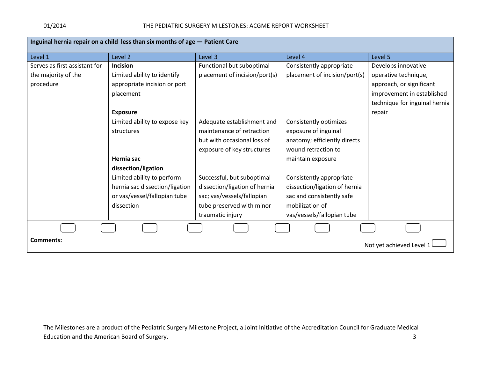#### 01/2014 THE PEDIATRIC SURGERY MILESTONES: ACGME REPORT WORKSHEET

| Inguinal hernia repair on a child less than six months of age - Patient Care |                                |                               |                               |                               |
|------------------------------------------------------------------------------|--------------------------------|-------------------------------|-------------------------------|-------------------------------|
| Level 1                                                                      | Level 2                        | Level 3                       | Level 4                       | Level 5                       |
| Serves as first assistant for                                                | Incision                       | Functional but suboptimal     | Consistently appropriate      | Develops innovative           |
| the majority of the                                                          | Limited ability to identify    | placement of incision/port(s) | placement of incision/port(s) | operative technique,          |
| procedure                                                                    | appropriate incision or port   |                               |                               | approach, or significant      |
|                                                                              | placement                      |                               |                               | improvement in established    |
|                                                                              |                                |                               |                               | technique for inguinal hernia |
|                                                                              | <b>Exposure</b>                |                               |                               | repair                        |
|                                                                              | Limited ability to expose key  | Adequate establishment and    | Consistently optimizes        |                               |
|                                                                              | structures                     | maintenance of retraction     | exposure of inguinal          |                               |
|                                                                              |                                | but with occasional loss of   | anatomy; efficiently directs  |                               |
|                                                                              |                                | exposure of key structures    | wound retraction to           |                               |
|                                                                              | Hernia sac                     |                               | maintain exposure             |                               |
|                                                                              | dissection/ligation            |                               |                               |                               |
|                                                                              | Limited ability to perform     | Successful, but suboptimal    | Consistently appropriate      |                               |
|                                                                              | hernia sac dissection/ligation | dissection/ligation of hernia | dissection/ligation of hernia |                               |
|                                                                              | or vas/vessel/fallopian tube   | sac; vas/vessels/fallopian    | sac and consistently safe     |                               |
|                                                                              | dissection                     | tube preserved with minor     | mobilization of               |                               |
|                                                                              |                                | traumatic injury              | vas/vessels/fallopian tube    |                               |
|                                                                              |                                |                               |                               |                               |
| <b>Comments:</b><br>Not yet achieved Level 1                                 |                                |                               |                               |                               |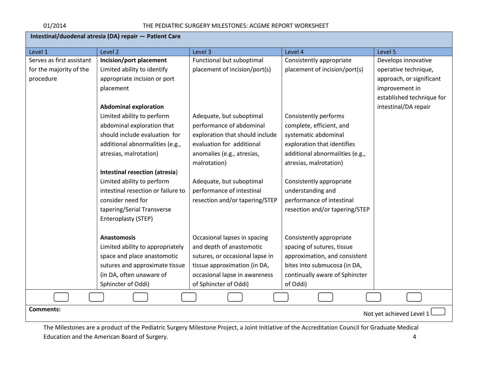| Intestinal/duodenal atresia (DA) repair - Patient Care |                                    |                                 |                                 |                             |
|--------------------------------------------------------|------------------------------------|---------------------------------|---------------------------------|-----------------------------|
| Level 1                                                | Level 2                            | Level 3                         | Level 4                         | Level 5                     |
| Serves as first assistant                              | Incision/port placement            | Functional but suboptimal       | Consistently appropriate        | Develops innovative         |
| for the majority of the                                | Limited ability to identify        | placement of incision/port(s)   | placement of incision/port(s)   | operative technique,        |
| procedure                                              | appropriate incision or port       |                                 |                                 | approach, or significant    |
|                                                        | placement                          |                                 |                                 | improvement in              |
|                                                        |                                    |                                 |                                 | established technique for   |
|                                                        | <b>Abdominal exploration</b>       |                                 |                                 | intestinal/DA repair        |
|                                                        | Limited ability to perform         | Adequate, but suboptimal        | Consistently performs           |                             |
|                                                        | abdominal exploration that         | performance of abdominal        | complete, efficient, and        |                             |
|                                                        | should include evaluation for      | exploration that should include | systematic abdominal            |                             |
|                                                        | additional abnormalities (e.g.,    | evaluation for additional       | exploration that identifies     |                             |
|                                                        | atresias, malrotation)             | anomalies (e.g., atresias,      | additional abnormalities (e.g., |                             |
|                                                        |                                    | malrotation)                    | atresias, malrotation)          |                             |
|                                                        | Intestinal resection (atresia)     |                                 |                                 |                             |
|                                                        | Limited ability to perform         | Adequate, but suboptimal        | Consistently appropriate        |                             |
|                                                        | intestinal resection or failure to | performance of intestinal       | understanding and               |                             |
|                                                        | consider need for                  | resection and/or tapering/STEP  | performance of intestinal       |                             |
|                                                        | tapering/Serial Transverse         |                                 | resection and/or tapering/STEP  |                             |
|                                                        | Enteroplasty (STEP)                |                                 |                                 |                             |
|                                                        |                                    |                                 |                                 |                             |
|                                                        | <b>Anastomosis</b>                 | Occasional lapses in spacing    | Consistently appropriate        |                             |
|                                                        | Limited ability to appropriately   | and depth of anastomotic        | spacing of sutures, tissue      |                             |
|                                                        | space and place anastomotic        | sutures, or occasional lapse in | approximation, and consistent   |                             |
|                                                        | sutures and approximate tissue     | tissue approximation (in DA,    | bites into submucosa (in DA,    |                             |
|                                                        | (in DA, often unaware of           | occasional lapse in awareness   | continually aware of Sphincter  |                             |
|                                                        | Sphincter of Oddi)                 | of Sphincter of Oddi)           | of Oddi)                        |                             |
|                                                        |                                    |                                 |                                 |                             |
| <b>Comments:</b>                                       |                                    |                                 |                                 | Not yet achieved Level $11$ |
|                                                        |                                    |                                 |                                 |                             |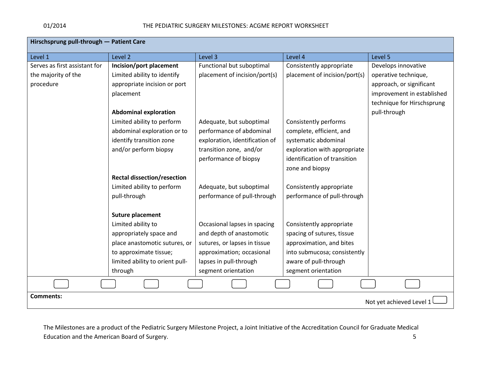| Hirschsprung pull-through - Patient Care |                                    |                                |                               |                            |  |
|------------------------------------------|------------------------------------|--------------------------------|-------------------------------|----------------------------|--|
| Level 1                                  | Level 2                            | Level 3                        | Level 4                       | Level 5                    |  |
| Serves as first assistant for            | Incision/port placement            | Functional but suboptimal      | Consistently appropriate      | Develops innovative        |  |
| the majority of the                      | Limited ability to identify        | placement of incision/port(s)  | placement of incision/port(s) | operative technique,       |  |
| procedure                                | appropriate incision or port       |                                |                               | approach, or significant   |  |
|                                          | placement                          |                                |                               | improvement in established |  |
|                                          |                                    |                                |                               | technique for Hirschsprung |  |
|                                          | <b>Abdominal exploration</b>       |                                |                               | pull-through               |  |
|                                          | Limited ability to perform         | Adequate, but suboptimal       | Consistently performs         |                            |  |
|                                          | abdominal exploration or to        | performance of abdominal       | complete, efficient, and      |                            |  |
|                                          | identify transition zone           | exploration, identification of | systematic abdominal          |                            |  |
|                                          | and/or perform biopsy              | transition zone, and/or        | exploration with appropriate  |                            |  |
|                                          |                                    | performance of biopsy          | identification of transition  |                            |  |
|                                          |                                    |                                | zone and biopsy               |                            |  |
|                                          | <b>Rectal dissection/resection</b> |                                |                               |                            |  |
|                                          | Limited ability to perform         | Adequate, but suboptimal       | Consistently appropriate      |                            |  |
|                                          | pull-through                       | performance of pull-through    | performance of pull-through   |                            |  |
|                                          |                                    |                                |                               |                            |  |
|                                          | Suture placement                   |                                |                               |                            |  |
|                                          | Limited ability to                 | Occasional lapses in spacing   | Consistently appropriate      |                            |  |
|                                          | appropriately space and            | and depth of anastomotic       | spacing of sutures, tissue    |                            |  |
|                                          | place anastomotic sutures, or      | sutures, or lapses in tissue   | approximation, and bites      |                            |  |
|                                          | to approximate tissue;             | approximation; occasional      | into submucosa; consistently  |                            |  |
|                                          | limited ability to orient pull-    | lapses in pull-through         | aware of pull-through         |                            |  |
|                                          | through                            | segment orientation            | segment orientation           |                            |  |
|                                          |                                    |                                |                               |                            |  |
| <b>Comments:</b>                         | Not yet achieved Level 1           |                                |                               |                            |  |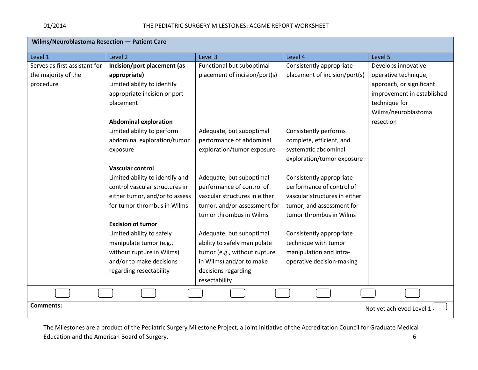| Wilms/Neuroblastoma Resection - Patient Care |                                 |                               |                               |                            |
|----------------------------------------------|---------------------------------|-------------------------------|-------------------------------|----------------------------|
| Level 1                                      | Level 2                         | Level 3                       | Level 4                       | Level 5                    |
| Serves as first assistant for                | Incision/port placement (as     | Functional but suboptimal     | Consistently appropriate      | Develops innovative        |
| the majority of the                          | appropriate)                    | placement of incision/port(s) | placement of incision/port(s) | operative technique,       |
| procedure                                    | Limited ability to identify     |                               |                               | approach, or significant   |
|                                              | appropriate incision or port    |                               |                               | improvement in established |
|                                              | placement                       |                               |                               | technique for              |
|                                              |                                 |                               |                               | Wilms/neuroblastoma        |
|                                              | <b>Abdominal exploration</b>    |                               |                               | resection                  |
|                                              | Limited ability to perform      | Adequate, but suboptimal      | Consistently performs         |                            |
|                                              | abdominal exploration/tumor     | performance of abdominal      | complete, efficient, and      |                            |
|                                              | exposure                        | exploration/tumor exposure    | systematic abdominal          |                            |
|                                              |                                 |                               | exploration/tumor exposure    |                            |
|                                              | <b>Vascular control</b>         |                               |                               |                            |
|                                              | Limited ability to identify and | Adequate, but suboptimal      | Consistently appropriate      |                            |
|                                              | control vascular structures in  | performance of control of     | performance of control of     |                            |
|                                              | either tumor, and/or to assess  | vascular structures in either | vascular structures in either |                            |
|                                              | for tumor thrombus in Wilms     | tumor, and/or assessment for  | tumor, and assessment for     |                            |
|                                              |                                 | tumor thrombus in Wilms       | tumor thrombus in Wilms       |                            |
|                                              | <b>Excision of tumor</b>        |                               |                               |                            |
|                                              | Limited ability to safely       | Adequate, but suboptimal      | Consistently appropriate      |                            |
|                                              | manipulate tumor (e.g.,         | ability to safely manipulate  | technique with tumor          |                            |
|                                              | without rupture in Wilms)       | tumor (e.g., without rupture  | manipulation and intra-       |                            |
|                                              | and/or to make decisions        | in Wilms) and/or to make      | operative decision-making     |                            |
|                                              | regarding resectability         | decisions regarding           |                               |                            |
|                                              |                                 | resectability                 |                               |                            |
|                                              |                                 |                               |                               |                            |
| <b>Comments:</b><br>Not yet achieved Level 1 |                                 |                               |                               |                            |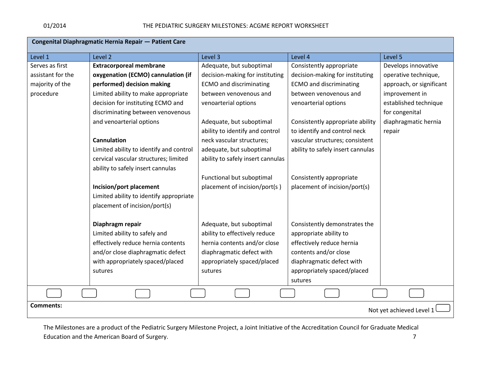| Congenital Diaphragmatic Hernia Repair - Patient Care |                                         |                                   |                                   |                          |  |
|-------------------------------------------------------|-----------------------------------------|-----------------------------------|-----------------------------------|--------------------------|--|
| Level 1                                               | Level <sub>2</sub>                      | Level 3                           | Level 4                           | Level 5                  |  |
| Serves as first                                       | <b>Extracorporeal membrane</b>          | Adequate, but suboptimal          | Consistently appropriate          | Develops innovative      |  |
| assistant for the                                     | oxygenation (ECMO) cannulation (if      | decision-making for instituting   | decision-making for instituting   | operative technique,     |  |
| majority of the                                       | performed) decision making              | <b>ECMO</b> and discriminating    | <b>ECMO</b> and discriminating    | approach, or significant |  |
| procedure                                             | Limited ability to make appropriate     | between venovenous and            | between venovenous and            | improvement in           |  |
|                                                       | decision for instituting ECMO and       | venoarterial options              | venoarterial options              | established technique    |  |
|                                                       | discriminating between venovenous       |                                   |                                   | for congenital           |  |
|                                                       | and venoarterial options                | Adequate, but suboptimal          | Consistently appropriate ability  | diaphragmatic hernia     |  |
|                                                       |                                         | ability to identify and control   | to identify and control neck      | repair                   |  |
|                                                       | Cannulation                             | neck vascular structures;         | vascular structures; consistent   |                          |  |
|                                                       | Limited ability to identify and control | adequate, but suboptimal          | ability to safely insert cannulas |                          |  |
|                                                       | cervical vascular structures; limited   | ability to safely insert cannulas |                                   |                          |  |
|                                                       | ability to safely insert cannulas       |                                   |                                   |                          |  |
|                                                       |                                         | Functional but suboptimal         | Consistently appropriate          |                          |  |
|                                                       | Incision/port placement                 | placement of incision/port(s)     | placement of incision/port(s)     |                          |  |
|                                                       | Limited ability to identify appropriate |                                   |                                   |                          |  |
|                                                       | placement of incision/port(s)           |                                   |                                   |                          |  |
|                                                       | Diaphragm repair                        | Adequate, but suboptimal          | Consistently demonstrates the     |                          |  |
|                                                       | Limited ability to safely and           | ability to effectively reduce     | appropriate ability to            |                          |  |
|                                                       | effectively reduce hernia contents      | hernia contents and/or close      | effectively reduce hernia         |                          |  |
|                                                       | and/or close diaphragmatic defect       | diaphragmatic defect with         | contents and/or close             |                          |  |
|                                                       | with appropriately spaced/placed        | appropriately spaced/placed       | diaphragmatic defect with         |                          |  |
|                                                       | sutures                                 | sutures                           | appropriately spaced/placed       |                          |  |
|                                                       |                                         |                                   | sutures                           |                          |  |
|                                                       |                                         |                                   |                                   |                          |  |
| <b>Comments:</b>                                      | Not yet achieved Level 1                |                                   |                                   |                          |  |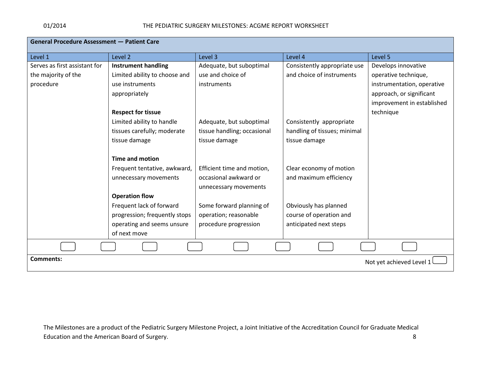| <b>General Procedure Assessment - Patient Care</b> |                               |                             |                              |                            |
|----------------------------------------------------|-------------------------------|-----------------------------|------------------------------|----------------------------|
| Level 1                                            | Level <sub>2</sub>            | Level 3                     | Level 4                      | Level 5                    |
| Serves as first assistant for                      | <b>Instrument handling</b>    | Adequate, but suboptimal    | Consistently appropriate use | Develops innovative        |
| the majority of the                                | Limited ability to choose and | use and choice of           | and choice of instruments    | operative technique,       |
| procedure                                          | use instruments               | instruments                 |                              | instrumentation, operative |
|                                                    | appropriately                 |                             |                              | approach, or significant   |
|                                                    |                               |                             |                              | improvement in established |
|                                                    | <b>Respect for tissue</b>     |                             |                              | technique                  |
|                                                    | Limited ability to handle     | Adequate, but suboptimal    | Consistently appropriate     |                            |
|                                                    | tissues carefully; moderate   | tissue handling; occasional | handling of tissues; minimal |                            |
|                                                    | tissue damage                 | tissue damage               | tissue damage                |                            |
|                                                    |                               |                             |                              |                            |
|                                                    | <b>Time and motion</b>        |                             |                              |                            |
|                                                    | Frequent tentative, awkward,  | Efficient time and motion,  | Clear economy of motion      |                            |
|                                                    | unnecessary movements         | occasional awkward or       | and maximum efficiency       |                            |
|                                                    |                               | unnecessary movements       |                              |                            |
|                                                    | <b>Operation flow</b>         |                             |                              |                            |
|                                                    | Frequent lack of forward      | Some forward planning of    | Obviously has planned        |                            |
|                                                    | progression; frequently stops | operation; reasonable       | course of operation and      |                            |
|                                                    | operating and seems unsure    | procedure progression       | anticipated next steps       |                            |
|                                                    | of next move                  |                             |                              |                            |
|                                                    |                               |                             |                              |                            |
| Comments:<br>Not yet achieved Level 1              |                               |                             |                              |                            |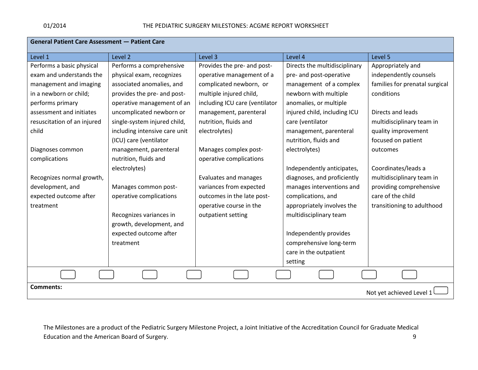| General Patient Care Assessment - Patient Care |                               |                                |                               |                                |  |
|------------------------------------------------|-------------------------------|--------------------------------|-------------------------------|--------------------------------|--|
| Level 1                                        | Level <sub>2</sub>            | Level 3                        | Level 4                       | Level 5                        |  |
| Performs a basic physical                      | Performs a comprehensive      | Provides the pre- and post-    | Directs the multidisciplinary | Appropriately and              |  |
| exam and understands the                       | physical exam, recognizes     | operative management of a      | pre- and post-operative       | independently counsels         |  |
| management and imaging                         | associated anomalies, and     | complicated newborn, or        | management of a complex       | families for prenatal surgical |  |
| in a newborn or child;                         | provides the pre- and post-   | multiple injured child,        | newborn with multiple         | conditions                     |  |
| performs primary                               | operative management of an    | including ICU care (ventilator | anomalies, or multiple        |                                |  |
| assessment and initiates                       | uncomplicated newborn or      | management, parenteral         | injured child, including ICU  | Directs and leads              |  |
| resuscitation of an injured                    | single-system injured child,  | nutrition, fluids and          | care (ventilator              | multidisciplinary team in      |  |
| child                                          | including intensive care unit | electrolytes)                  | management, parenteral        | quality improvement            |  |
|                                                | (ICU) care (ventilator        |                                | nutrition, fluids and         | focused on patient             |  |
| Diagnoses common                               | management, parenteral        | Manages complex post-          | electrolytes)                 | outcomes                       |  |
| complications                                  | nutrition, fluids and         | operative complications        |                               |                                |  |
|                                                | electrolytes)                 |                                | Independently anticipates,    | Coordinates/leads a            |  |
| Recognizes normal growth,                      |                               | Evaluates and manages          | diagnoses, and proficiently   | multidisciplinary team in      |  |
| development, and                               | Manages common post-          | variances from expected        | manages interventions and     | providing comprehensive        |  |
| expected outcome after                         | operative complications       | outcomes in the late post-     | complications, and            | care of the child              |  |
| treatment                                      |                               | operative course in the        | appropriately involves the    | transitioning to adulthood     |  |
|                                                | Recognizes variances in       | outpatient setting             | multidisciplinary team        |                                |  |
|                                                | growth, development, and      |                                |                               |                                |  |
|                                                | expected outcome after        |                                | Independently provides        |                                |  |
|                                                | treatment                     |                                | comprehensive long-term       |                                |  |
|                                                |                               |                                | care in the outpatient        |                                |  |
|                                                |                               |                                | setting                       |                                |  |
|                                                |                               |                                |                               |                                |  |
| <b>Comments:</b>                               |                               |                                |                               | Not yet achieved Level 1       |  |
|                                                |                               |                                |                               |                                |  |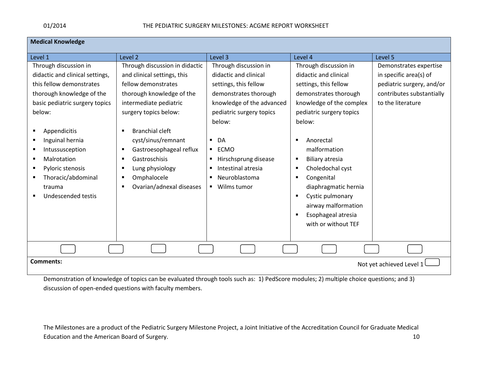**Medical Knowledge**

| Level 1                         | Level 2                        | Level 3                       | Level 4                  | Level 5                   |
|---------------------------------|--------------------------------|-------------------------------|--------------------------|---------------------------|
| Through discussion in           | Through discussion in didactic | Through discussion in         | Through discussion in    | Demonstrates expertise    |
| didactic and clinical settings, | and clinical settings, this    | didactic and clinical         | didactic and clinical    | in specific area(s) of    |
| this fellow demonstrates        | fellow demonstrates            | settings, this fellow         | settings, this fellow    | pediatric surgery, and/or |
| thorough knowledge of the       | thorough knowledge of the      | demonstrates thorough         | demonstrates thorough    | contributes substantially |
| basic pediatric surgery topics  | intermediate pediatric         | knowledge of the advanced     | knowledge of the complex | to the literature         |
| below:                          | surgery topics below:          | pediatric surgery topics      | pediatric surgery topics |                           |
|                                 |                                | below:                        | below:                   |                           |
| Appendicitis                    | <b>Branchial cleft</b>         |                               |                          |                           |
| Inguinal hernia                 | cyst/sinus/remnant             | DA                            | Anorectal<br>Е           |                           |
| Intussusception                 | Gastroesophageal reflux        | ECMO<br>п.                    | malformation             |                           |
| Malrotation                     | Gastroschisis                  | Hirschsprung disease          | Biliary atresia<br>в     |                           |
| Pyloric stenosis                | Lung physiology                | Intestinal atresia<br>٠       | Choledochal cyst<br>Е    |                           |
| Thoracic/abdominal              | Omphalocele<br>п               | Neuroblastoma<br>٠            | Congenital<br>в          |                           |
| trauma                          | Ovarian/adnexal diseases<br>п  | Wilms tumor<br>$\blacksquare$ | diaphragmatic hernia     |                           |
| Undescended testis              |                                |                               | Cystic pulmonary<br>п    |                           |
|                                 |                                |                               | airway malformation      |                           |
|                                 |                                |                               | Esophageal atresia       |                           |
|                                 |                                |                               | with or without TEF      |                           |
|                                 |                                |                               |                          |                           |
|                                 |                                |                               |                          |                           |
|                                 |                                |                               |                          |                           |
| <b>Comments:</b>                |                                |                               |                          | Not yet achieved Level 1  |
|                                 |                                |                               |                          |                           |

Demonstration of knowledge of topics can be evaluated through tools such as: 1) PedScore modules; 2) multiple choice questions; and 3) discussion of open-ended questions with faculty members.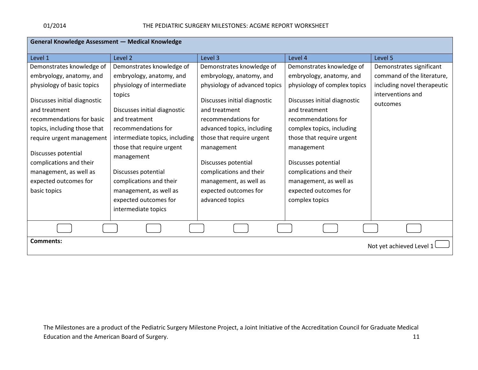| <b>General Knowledge Assessment - Medical Knowledge</b> |                                |                               |                              |                             |
|---------------------------------------------------------|--------------------------------|-------------------------------|------------------------------|-----------------------------|
| Level 1                                                 | Level 2                        | Level 3                       | Level 4                      | Level 5                     |
| Demonstrates knowledge of                               | Demonstrates knowledge of      | Demonstrates knowledge of     | Demonstrates knowledge of    | Demonstrates significant    |
| embryology, anatomy, and                                | embryology, anatomy, and       | embryology, anatomy, and      | embryology, anatomy, and     | command of the literature,  |
| physiology of basic topics                              | physiology of intermediate     | physiology of advanced topics | physiology of complex topics | including novel therapeutic |
|                                                         | topics                         |                               |                              | interventions and           |
| Discusses initial diagnostic                            |                                | Discusses initial diagnostic  | Discusses initial diagnostic | outcomes                    |
| and treatment                                           | Discusses initial diagnostic   | and treatment                 | and treatment                |                             |
| recommendations for basic                               | and treatment                  | recommendations for           | recommendations for          |                             |
| topics, including those that                            | recommendations for            | advanced topics, including    | complex topics, including    |                             |
| require urgent management                               | intermediate topics, including | those that require urgent     | those that require urgent    |                             |
| Discusses potential                                     | those that require urgent      | management                    | management                   |                             |
| complications and their                                 | management                     | Discusses potential           | Discusses potential          |                             |
| management, as well as                                  | Discusses potential            | complications and their       | complications and their      |                             |
| expected outcomes for                                   | complications and their        | management, as well as        | management, as well as       |                             |
| basic topics                                            | management, as well as         | expected outcomes for         | expected outcomes for        |                             |
|                                                         | expected outcomes for          | advanced topics               | complex topics               |                             |
|                                                         | intermediate topics            |                               |                              |                             |
|                                                         |                                |                               |                              |                             |
|                                                         |                                |                               |                              |                             |
| <b>Comments:</b><br>Not yet achieved Level 1            |                                |                               |                              |                             |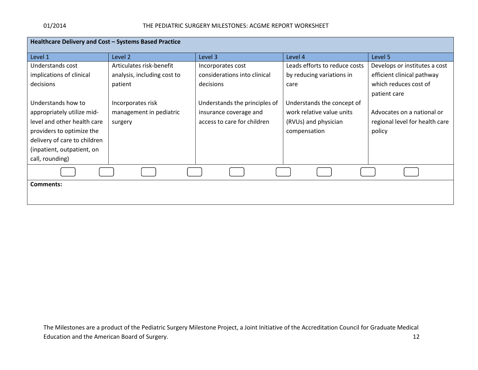| Healthcare Delivery and Cost - Systems Based Practice |                             |                               |                               |                                |  |
|-------------------------------------------------------|-----------------------------|-------------------------------|-------------------------------|--------------------------------|--|
| Level 1                                               | Level 2                     | Level 3                       | Level 4                       | Level 5                        |  |
| Understands cost                                      | Articulates risk-benefit    | Incorporates cost             | Leads efforts to reduce costs | Develops or institutes a cost  |  |
| implications of clinical                              | analysis, including cost to | considerations into clinical  | by reducing variations in     | efficient clinical pathway     |  |
| decisions                                             | patient                     | decisions                     | care                          | which reduces cost of          |  |
|                                                       |                             |                               |                               | patient care                   |  |
| Understands how to                                    | Incorporates risk           | Understands the principles of | Understands the concept of    |                                |  |
| appropriately utilize mid-                            | management in pediatric     | insurance coverage and        | work relative value units     | Advocates on a national or     |  |
| level and other health care                           | surgery                     | access to care for children   | (RVUs) and physician          | regional level for health care |  |
| providers to optimize the                             |                             |                               | compensation                  | policy                         |  |
| delivery of care to children                          |                             |                               |                               |                                |  |
| (inpatient, outpatient, on                            |                             |                               |                               |                                |  |
| call, rounding)                                       |                             |                               |                               |                                |  |
|                                                       |                             |                               |                               |                                |  |
| Comments:                                             |                             |                               |                               |                                |  |
|                                                       |                             |                               |                               |                                |  |
|                                                       |                             |                               |                               |                                |  |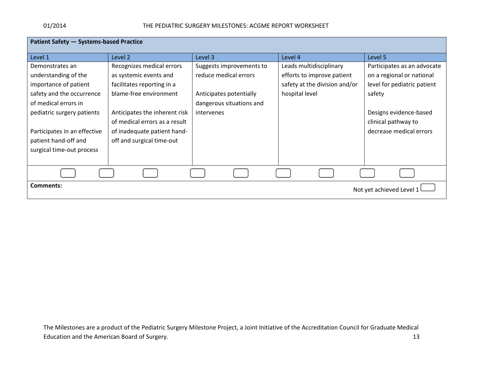| Patient Safety - Systems-based Practice |                               |                          |                               |                             |
|-----------------------------------------|-------------------------------|--------------------------|-------------------------------|-----------------------------|
| Level 1                                 | Level 2                       | Level 3                  | Level 4                       | Level 5                     |
| Demonstrates an                         | Recognizes medical errors     | Suggests improvements to | Leads multidisciplinary       | Participates as an advocate |
| understanding of the                    | as systemic events and        | reduce medical errors    | efforts to improve patient    | on a regional or national   |
| importance of patient                   | facilitates reporting in a    |                          | safety at the division and/or | level for pediatric patient |
| safety and the occurrence               | blame-free environment        | Anticipates potentially  | hospital level                | safety                      |
| of medical errors in                    |                               | dangerous situations and |                               |                             |
| pediatric surgery patients              | Anticipates the inherent risk | intervenes               |                               | Designs evidence-based      |
|                                         | of medical errors as a result |                          |                               | clinical pathway to         |
| Participates in an effective            | of inadequate patient hand-   |                          |                               | decrease medical errors     |
| patient hand-off and                    | off and surgical time-out     |                          |                               |                             |
| surgical time-out process               |                               |                          |                               |                             |
|                                         |                               |                          |                               |                             |
|                                         |                               |                          |                               |                             |
| Comments:                               |                               |                          |                               | Not yet achieved Level 1    |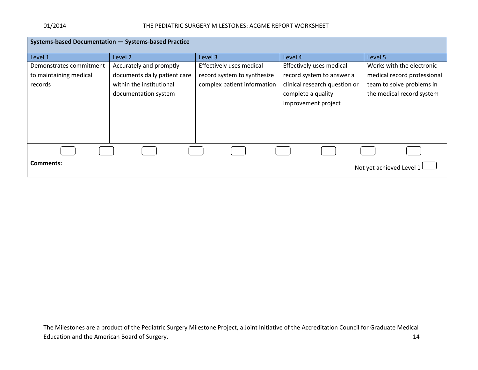| Systems-based Documentation - Systems-based Practice |                              |                             |                               |                             |  |
|------------------------------------------------------|------------------------------|-----------------------------|-------------------------------|-----------------------------|--|
| Level 1                                              | Level <sub>2</sub>           | Level 3                     | Level 4                       | Level 5                     |  |
| Demonstrates commitment                              | Accurately and promptly      | Effectively uses medical    | Effectively uses medical      | Works with the electronic   |  |
| to maintaining medical                               | documents daily patient care | record system to synthesize | record system to answer a     | medical record professional |  |
| records                                              | within the institutional     | complex patient information | clinical research question or | team to solve problems in   |  |
|                                                      | documentation system         |                             | complete a quality            | the medical record system   |  |
|                                                      |                              |                             | improvement project           |                             |  |
|                                                      |                              |                             |                               |                             |  |
|                                                      |                              |                             |                               |                             |  |
|                                                      |                              |                             |                               |                             |  |
|                                                      |                              |                             |                               |                             |  |
|                                                      |                              |                             |                               |                             |  |
| Comments:                                            |                              |                             |                               | Not yet achieved Level 1    |  |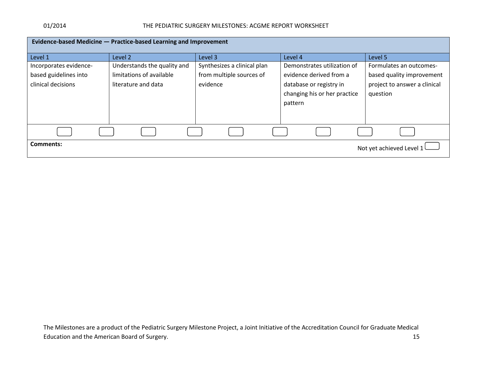#### 01/2014 THE PEDIATRIC SURGERY MILESTONES: ACGME REPORT WORKSHEET

| Evidence-based Medicine - Practice-based Learning and Improvement |                                                         |                                                         |                                                                    |                                                      |
|-------------------------------------------------------------------|---------------------------------------------------------|---------------------------------------------------------|--------------------------------------------------------------------|------------------------------------------------------|
| Level 1                                                           | Level <sub>2</sub>                                      | Level 3                                                 | Level 4                                                            | Level 5                                              |
| Incorporates evidence-<br>based guidelines into                   | Understands the quality and<br>limitations of available | Synthesizes a clinical plan<br>from multiple sources of | Demonstrates utilization of<br>evidence derived from a             | Formulates an outcomes-<br>based quality improvement |
| clinical decisions                                                | literature and data                                     | evidence                                                | database or registry in<br>changing his or her practice<br>pattern | project to answer a clinical<br>question             |
|                                                                   |                                                         |                                                         |                                                                    |                                                      |
| Comments:                                                         |                                                         |                                                         |                                                                    | Not yet achieved Level 1                             |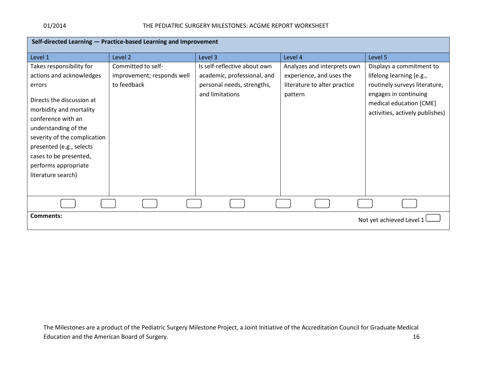| Self-directed Learning - Practice-based Learning and Improvement                                                                                                                                                                       |                            |                              |                              |                                                                                     |  |
|----------------------------------------------------------------------------------------------------------------------------------------------------------------------------------------------------------------------------------------|----------------------------|------------------------------|------------------------------|-------------------------------------------------------------------------------------|--|
| Level 1                                                                                                                                                                                                                                | Level 2                    | Level 3                      | Level 4                      | Level 5                                                                             |  |
| Takes responsibility for                                                                                                                                                                                                               | Committed to self-         | Is self-reflective about own | Analyzes and interprets own  | Displays a commitment to                                                            |  |
| actions and acknowledges                                                                                                                                                                                                               | improvement; responds well | academic, professional, and  | experience, and uses the     | lifelong learning (e.g.,                                                            |  |
| errors                                                                                                                                                                                                                                 | to feedback                | personal needs, strengths,   | literature to alter practice | routinely surveys literature,                                                       |  |
| Directs the discussion at<br>morbidity and mortality<br>conference with an<br>understanding of the<br>severity of the complication<br>presented (e.g., selects<br>cases to be presented,<br>performs appropriate<br>literature search) |                            | and limitations              | pattern                      | engages in continuing<br>medical education [CME]<br>activities, actively publishes) |  |
|                                                                                                                                                                                                                                        |                            |                              |                              |                                                                                     |  |
| <b>Comments:</b>                                                                                                                                                                                                                       |                            |                              |                              | Not yet achieved Level 1                                                            |  |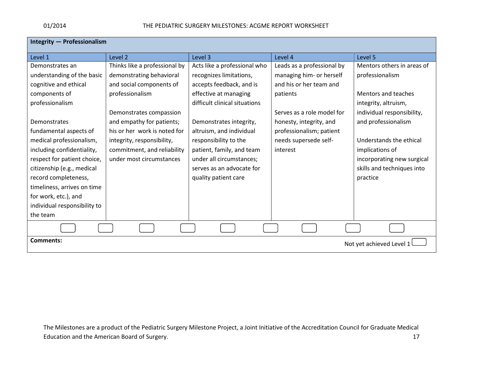| Integrity - Professionalism                  |                               |                               |                            |                            |  |
|----------------------------------------------|-------------------------------|-------------------------------|----------------------------|----------------------------|--|
| Level 1                                      | Level 2                       | Level 3                       | Level 4                    | Level 5                    |  |
| Demonstrates an                              | Thinks like a professional by | Acts like a professional who  | Leads as a professional by | Mentors others in areas of |  |
| understanding of the basic                   | demonstrating behavioral      | recognizes limitations,       | managing him- or herself   | professionalism            |  |
| cognitive and ethical                        | and social components of      | accepts feedback, and is      | and his or her team and    |                            |  |
| components of                                | professionalism               | effective at managing         | patients                   | Mentors and teaches        |  |
| professionalism                              |                               | difficult clinical situations |                            | integrity, altruism,       |  |
|                                              | Demonstrates compassion       |                               | Serves as a role model for | individual responsibility, |  |
| Demonstrates                                 | and empathy for patients;     | Demonstrates integrity,       | honesty, integrity, and    | and professionalism        |  |
| fundamental aspects of                       | his or her work is noted for  | altruism, and individual      | professionalism; patient   |                            |  |
| medical professionalism,                     | integrity, responsibility,    | responsibility to the         | needs supersede self-      | Understands the ethical    |  |
| including confidentiality,                   | commitment, and reliability   | patient, family, and team     | interest                   | implications of            |  |
| respect for patient choice,                  | under most circumstances      | under all circumstances;      |                            | incorporating new surgical |  |
| citizenship (e.g., medical                   |                               | serves as an advocate for     |                            | skills and techniques into |  |
| record completeness,                         |                               | quality patient care          |                            | practice                   |  |
| timeliness, arrives on time                  |                               |                               |                            |                            |  |
| for work, etc.), and                         |                               |                               |                            |                            |  |
| individual responsibility to                 |                               |                               |                            |                            |  |
| the team                                     |                               |                               |                            |                            |  |
|                                              |                               |                               |                            |                            |  |
| <b>Comments:</b><br>Not yet achieved Level 1 |                               |                               |                            |                            |  |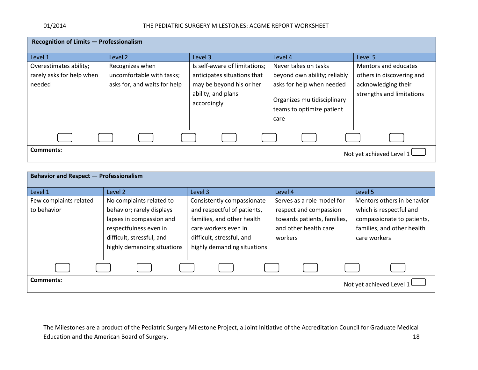| Recognition of Limits - Professionalism                       |                                                                              |                                                                                                                               |                                                                                                                                                       |                                                                                                       |  |
|---------------------------------------------------------------|------------------------------------------------------------------------------|-------------------------------------------------------------------------------------------------------------------------------|-------------------------------------------------------------------------------------------------------------------------------------------------------|-------------------------------------------------------------------------------------------------------|--|
| Level 1                                                       | Level 2                                                                      | Level 3                                                                                                                       | Level 4                                                                                                                                               | Level 5                                                                                               |  |
| Overestimates ability;<br>rarely asks for help when<br>needed | Recognizes when<br>uncomfortable with tasks;<br>asks for, and waits for help | Is self-aware of limitations;<br>anticipates situations that<br>may be beyond his or her<br>ability, and plans<br>accordingly | Never takes on tasks<br>beyond own ability; reliably<br>asks for help when needed<br>Organizes multidisciplinary<br>teams to optimize patient<br>care | Mentors and educates<br>others in discovering and<br>acknowledging their<br>strengths and limitations |  |
| Comments:                                                     |                                                                              |                                                                                                                               |                                                                                                                                                       | Not yet achieved Level 1                                                                              |  |

| <b>Behavior and Respect - Professionalism</b> |                             |                             |                             |                            |  |
|-----------------------------------------------|-----------------------------|-----------------------------|-----------------------------|----------------------------|--|
| Level 1                                       | Level 2                     | Level 3                     | Level 4                     | Level 5                    |  |
| Few complaints related                        | No complaints related to    | Consistently compassionate  | Serves as a role model for  | Mentors others in behavior |  |
| to behavior                                   | behavior; rarely displays   | and respectful of patients, | respect and compassion      | which is respectful and    |  |
|                                               | lapses in compassion and    | families, and other health  | towards patients, families, | compassionate to patients, |  |
|                                               | respectfulness even in      | care workers even in        | and other health care       | families, and other health |  |
|                                               | difficult, stressful, and   | difficult, stressful, and   | workers                     | care workers               |  |
|                                               | highly demanding situations | highly demanding situations |                             |                            |  |
|                                               |                             |                             |                             |                            |  |
|                                               |                             |                             |                             |                            |  |
| Comments:                                     |                             |                             |                             | Not yet achieved Level 1   |  |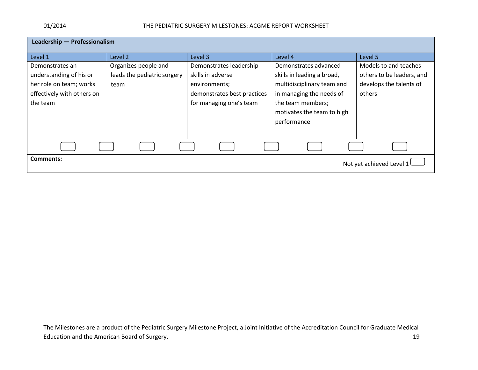| Leadership - Professionalism          |                             |                             |                            |                           |
|---------------------------------------|-----------------------------|-----------------------------|----------------------------|---------------------------|
| Level 1                               | Level 2                     | Level 3                     | Level 4                    | Level 5                   |
| Demonstrates an                       | Organizes people and        | Demonstrates leadership     | Demonstrates advanced      | Models to and teaches     |
| understanding of his or               | leads the pediatric surgery | skills in adverse           | skills in leading a broad, | others to be leaders, and |
| her role on team; works               | team                        | environments;               | multidisciplinary team and | develops the talents of   |
| effectively with others on            |                             | demonstrates best practices | in managing the needs of   | others                    |
| the team                              |                             | for managing one's team     | the team members;          |                           |
|                                       |                             |                             | motivates the team to high |                           |
|                                       |                             |                             | performance                |                           |
|                                       |                             |                             |                            |                           |
|                                       |                             |                             |                            |                           |
|                                       |                             |                             |                            |                           |
| Comments:<br>Not yet achieved Level 1 |                             |                             |                            |                           |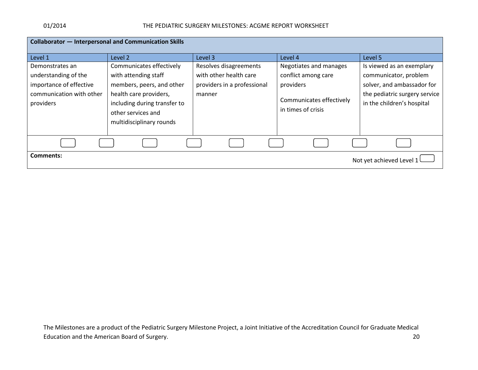| <b>Collaborator - Interpersonal and Communication Skills</b> |                              |                             |                          |                               |  |
|--------------------------------------------------------------|------------------------------|-----------------------------|--------------------------|-------------------------------|--|
|                                                              |                              |                             |                          |                               |  |
| Level 1                                                      | Level 2                      | Level 3                     | Level 4                  | Level 5                       |  |
| Demonstrates an                                              | Communicates effectively     | Resolves disagreements      | Negotiates and manages   | Is viewed as an exemplary     |  |
| understanding of the                                         | with attending staff         | with other health care      | conflict among care      | communicator, problem         |  |
| importance of effective                                      | members, peers, and other    | providers in a professional | providers                | solver, and ambassador for    |  |
| communication with other                                     | health care providers,       | manner                      |                          | the pediatric surgery service |  |
| providers                                                    | including during transfer to |                             | Communicates effectively | in the children's hospital    |  |
|                                                              | other services and           |                             | in times of crisis       |                               |  |
|                                                              | multidisciplinary rounds     |                             |                          |                               |  |
|                                                              |                              |                             |                          |                               |  |
|                                                              |                              |                             |                          |                               |  |
| <b>Comments:</b>                                             |                              |                             |                          |                               |  |
|                                                              |                              |                             |                          |                               |  |
|                                                              |                              |                             |                          | Not yet achieved Level 1      |  |